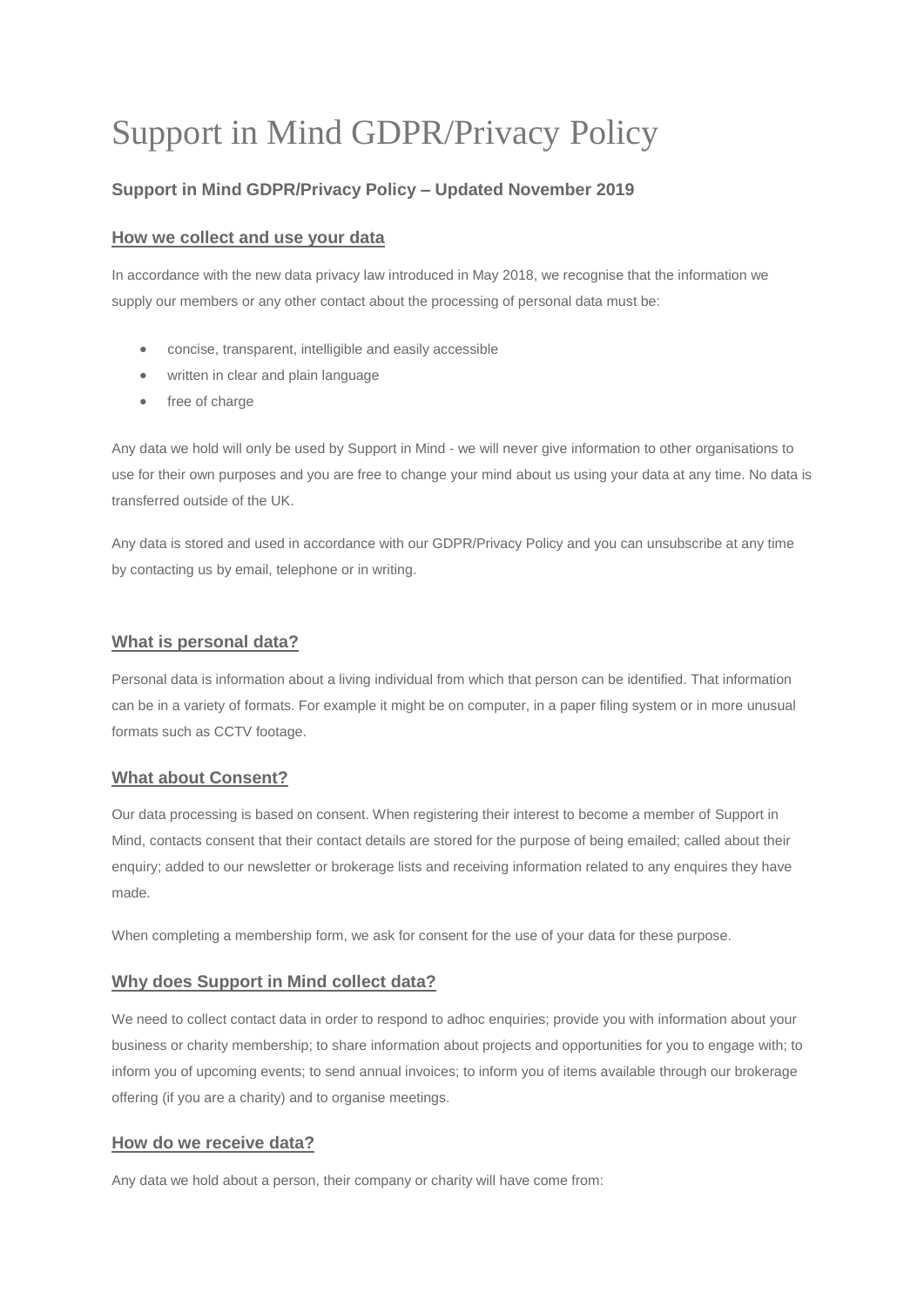# Support in Mind GDPR/Privacy Policy

## **Support in Mind GDPR/Privacy Policy – Updated November 2019**

## **How we collect and use your data**

In accordance with the new data privacy law introduced in May 2018, we recognise that the information we supply our members or any other contact about the processing of personal data must be:

- concise, transparent, intelligible and easily accessible
- written in clear and plain language
- free of charge

Any data we hold will only be used by Support in Mind - we will never give information to other organisations to use for their own purposes and you are free to change your mind about us using your data at any time. No data is transferred outside of the UK.

Any data is stored and used in accordance with our GDPR/Privacy Policy and you can unsubscribe at any time by contacting us by email, telephone or in writing.

#### **What is personal data?**

Personal data is information about a living individual from which that person can be identified. That information can be in a variety of formats. For example it might be on computer, in a paper filing system or in more unusual formats such as CCTV footage.

## **What about Consent?**

Our data processing is based on consent. When registering their interest to become a member of Support in Mind, contacts consent that their contact details are stored for the purpose of being emailed; called about their enquiry; added to our newsletter or brokerage lists and receiving information related to any enquires they have made.

When completing a membership form, we ask for consent for the use of your data for these purpose.

#### **Why does Support in Mind collect data?**

We need to collect contact data in order to respond to adhoc enquiries; provide you with information about your business or charity membership; to share information about projects and opportunities for you to engage with; to inform you of upcoming events; to send annual invoices; to inform you of items available through our brokerage offering (if you are a charity) and to organise meetings.

## **How do we receive data?**

Any data we hold about a person, their company or charity will have come from: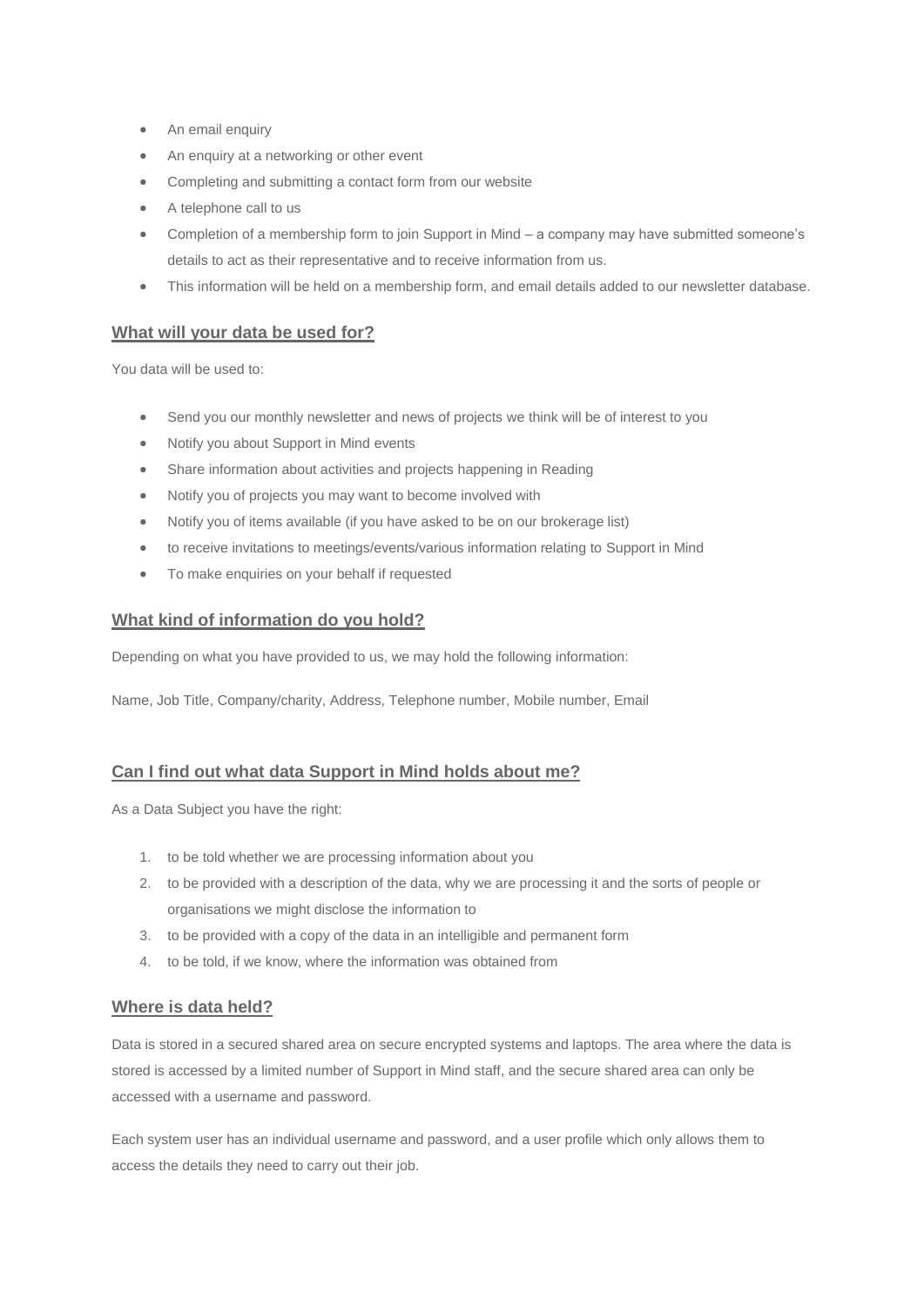- An email enquiry
- An enquiry at a networking or other event
- Completing and submitting a contact form from our website
- A telephone call to us
- Completion of a membership form to join Support in Mind a company may have submitted someone's details to act as their representative and to receive information from us.
- This information will be held on a membership form, and email details added to our newsletter database.

#### **What will your data be used for?**

You data will be used to:

- Send you our monthly newsletter and news of projects we think will be of interest to you
- Notify you about Support in Mind events
- Share information about activities and projects happening in Reading
- Notify you of projects you may want to become involved with
- Notify you of items available (if you have asked to be on our brokerage list)
- to receive invitations to meetings/events/various information relating to Support in Mind
- To make enquiries on your behalf if requested

#### **What kind of information do you hold?**

Depending on what you have provided to us, we may hold the following information:

Name, Job Title, Company/charity, Address, Telephone number, Mobile number, Email

#### **Can I find out what data Support in Mind holds about me?**

As a Data Subject you have the right:

- 1. to be told whether we are processing information about you
- 2. to be provided with a description of the data, why we are processing it and the sorts of people or organisations we might disclose the information to
- 3. to be provided with a copy of the data in an intelligible and permanent form
- 4. to be told, if we know, where the information was obtained from

#### **Where is data held?**

Data is stored in a secured shared area on secure encrypted systems and laptops. The area where the data is stored is accessed by a limited number of Support in Mind staff, and the secure shared area can only be accessed with a username and password.

Each system user has an individual username and password, and a user profile which only allows them to access the details they need to carry out their job.